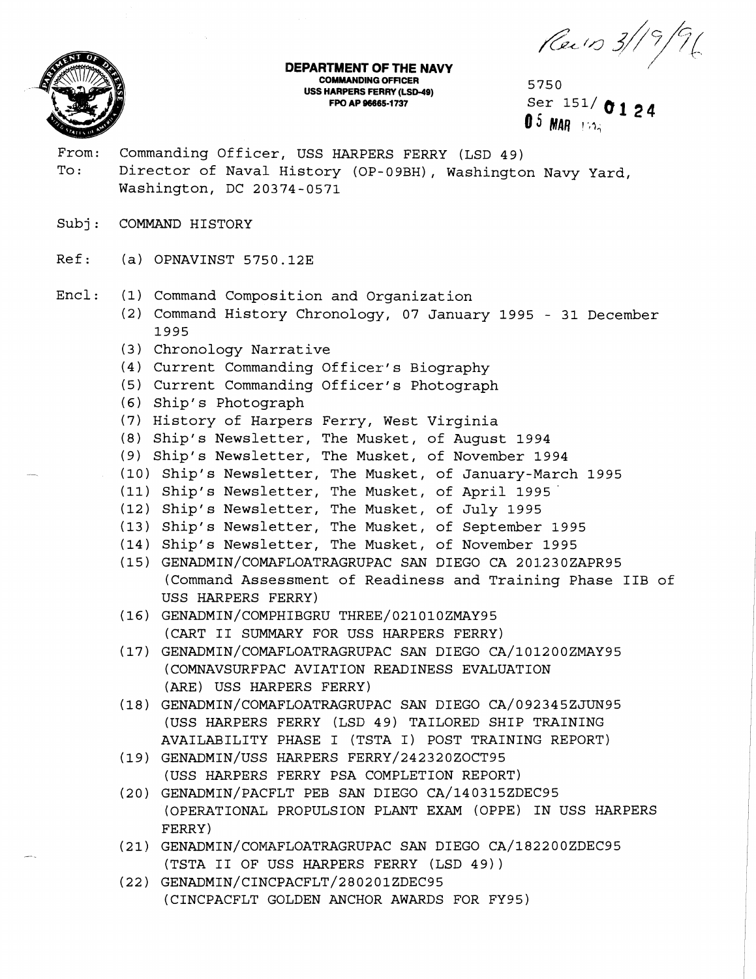**DEPARTMENT OF THE NAVY** 



**COMMANDING OFFICER uss HARPERS FERRY (LSM~)** 5750

**FPO AP 96665-1737**<br> **FPO AP 96665-1737**<br> **A** 5 **Alta C 1 2** 4 **0** 5 **MAR 150**<sup>2</sup>

- From: Commanding Officer, USS HARPERS FERRY (LSD 49) To: Director of Naval History (OP-09BH), Washington Navy Yard, Washington, DC 20374-0571
- Subj: COMMAND HISTORY
- Ref: (a) OPNAVINST 5750.12E
- Encl: (1) Command Composition and Organization
	- (2) Command History Chronology, 07 January 1995 31 December 1995
	- (3) Chronology Narrative
	- (4) Current Commanding Officer's Biography
	- (5) Current Commanding Officer's Photograph
	- **(6)** Shipt s Photograph
	- (7) History of Harpers Ferry, West Virginia
	- (8) Ship's Newsletter, The Musket, of August 1994
	- (9) Ship's Newsletter, The Musket, of November 1994
	- (10) Ship's Newsletter, The Musket, of January-March 1995
	- (11) Ship's Newsletter, The Musket, of April 1995
	- (12) Ship's Newsletter, The Musket, of July 1995
	- (13) Ship's Newsletter, The Musket, of September 1995
	- (14) Ship's Newsletter, The Musket, of November 1995
	- (15) GENADMIN/COMAFLOATRAGRUPAC SAN DIEGO CA 201230ZAPR95 (Command Assessment of Readiness and Training Phase IIB of USS HARPERS FERRY)
	- (16) GENADMIN/COMPHIBGRU THREE/021010ZMAY95 (CART I1 SUMMARY FOR USS HARPERS FERRY)
	- (17) GENADMIN/COMAFLOATRAGRUPAC SAN DIEGO CA/101200ZMAY95 (COMNAVSURFPAC AVIATION READINESS EVALUATION (ARE) USS HARPERS FERRY)
	- (18) **GENADMIN/COMAFLOATRAGRUPAC** SAN DIEGO CA/092345ZJUN95 (USS HARPERS FERRY (LSD 49) TAILORED SHIP TRAINING AVAILABILITY PHASE I (TSTA I) POST TRAINING REPORT)
	- (19) GENADMIN/USS HARPERS FERRY/242320ZOCT95 (USS HARPERS FERRY PSA COMPLETION REPORT)
	- (20) GENADMIN/PACFLT PEB SAN DIEGO CA/140315ZDEC95 (OPERATIONAL PROPULSION PLANT EXAM (OPPE) IN USS HARPERS FERRY)
	- (21) GENADMIN/COMAFLOATRAGRUPAC SAN DIEGO CA/182200ZDEC95 (TSTA I1 OF USS HARPERS FERRY (LSD 49) )
	- (22) GENADMIN/CINCPACFLT/280201ZDEC95 (CINCPACFLT GOLDEN ANCHOR AWARDS FOR FY95)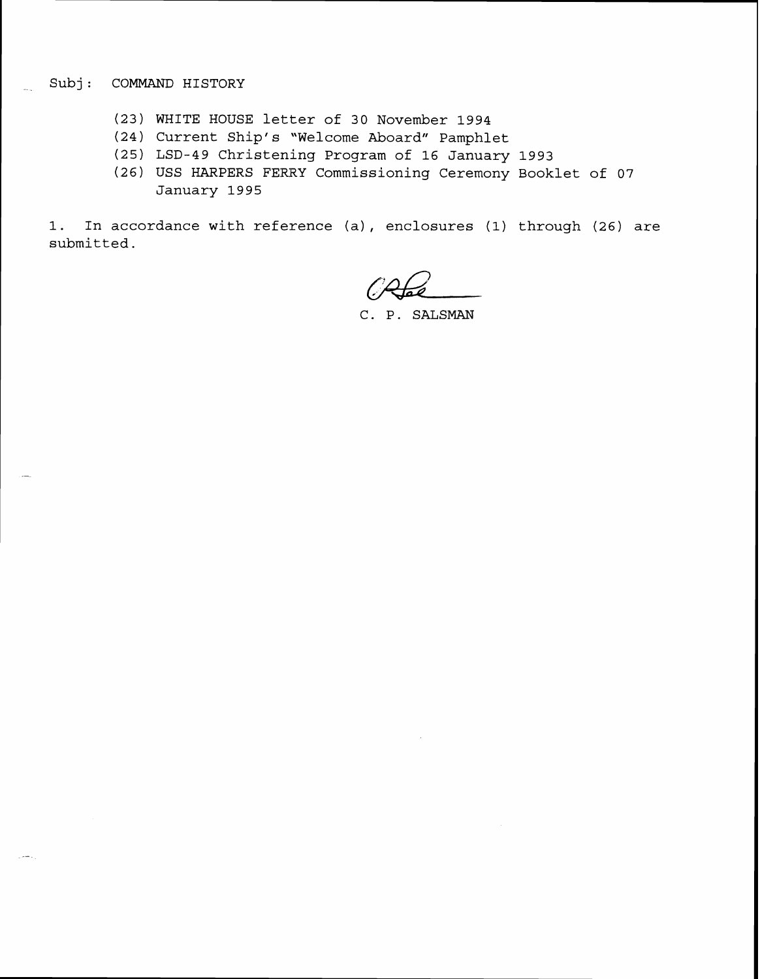#### \_ **Subj** : **COMMAND HISTORY**

- (23) **WHITE HOUSE letter of 30 November 1994**
- **(24) Current Ship's 'Welcome Aboard" Pamphlet**
- **(25) LSD-49 Christening Program of 16 January 1993**
- **(26) USS HARPERS FERRY Commissioning Ceremony Booklet of 07 January 1995**

**1. In accordance with reference (a)** , **enclosures (1) through (26) are submitted.** 

C. P. SALSMAN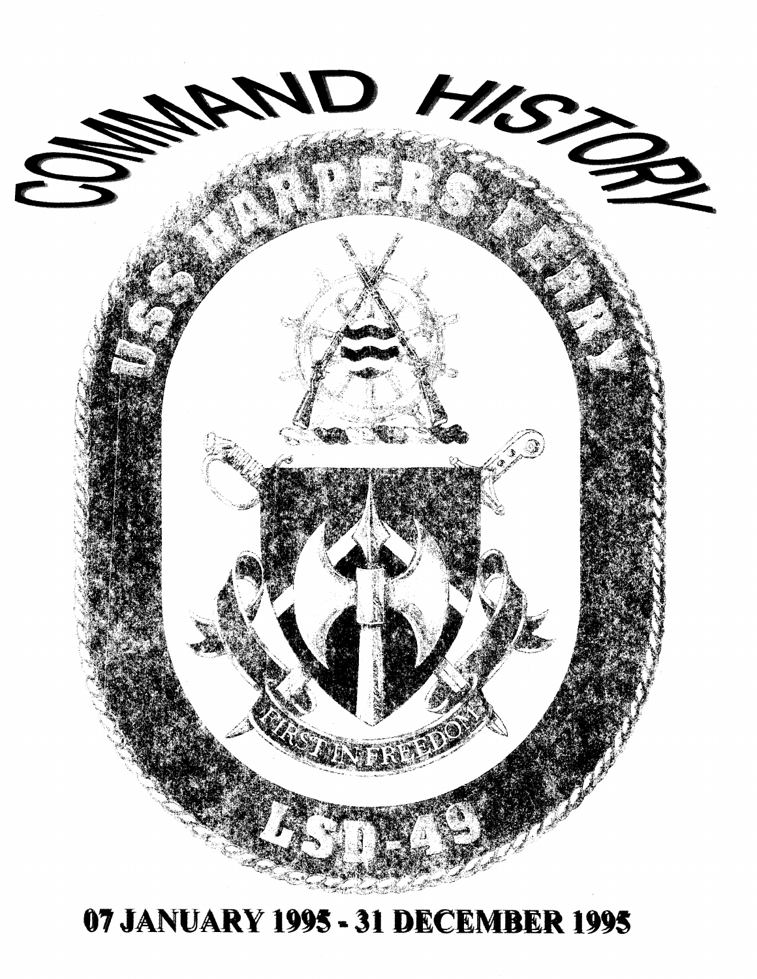

### **JANUARY 1995** = **31 DECE R 1995**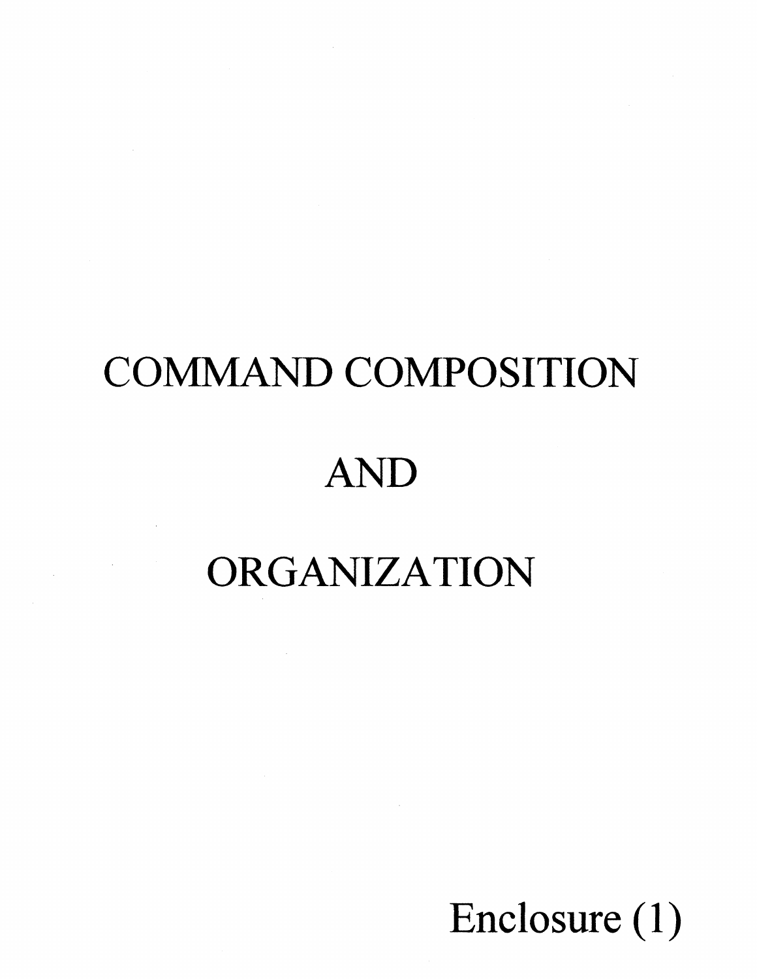# COMMAND COMPOSITION AND

### ORGANIZATION

 $\sim 100$ 

Enclosure (1)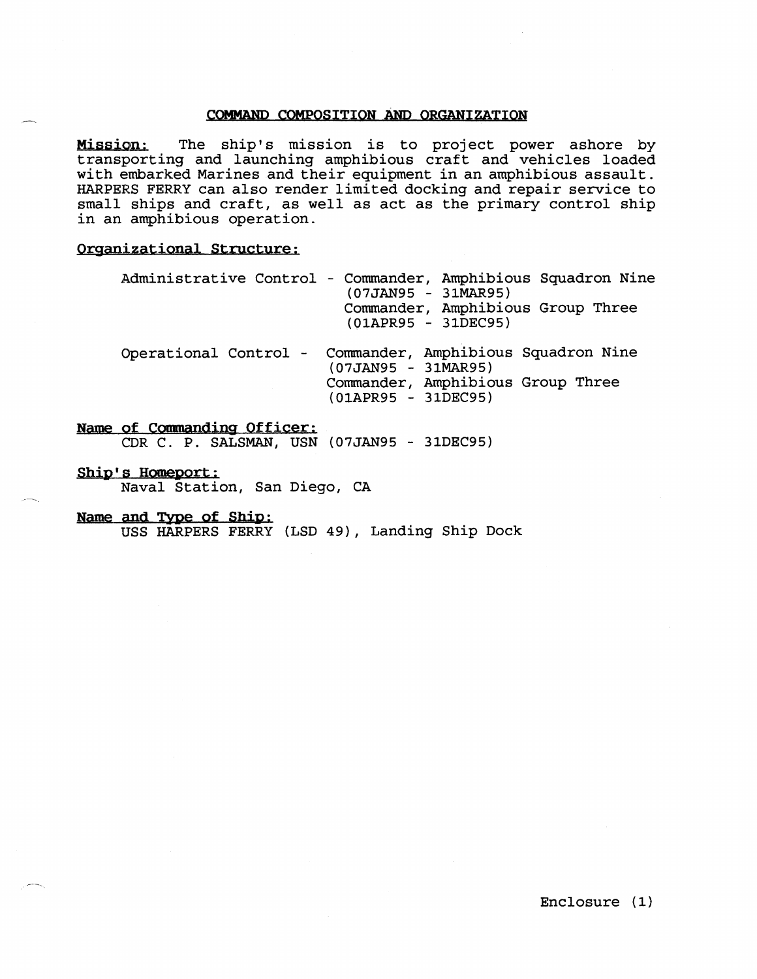#### COMMAND COMPOSITION AND ORGANIZATION

The ship's mission is to project power ashore by transporting and launching amphibious craft and vehicles loaded with embarked Marines and their equipment in an amphibious assault. HARPERS FERRY can also render limited docking and repair service to small ships and craft, as well as act as the primary control ship in an amphibious operation.

#### **Orsanizational Structure;**

| Administrative Control - Commander, Amphibious Squadron Nine<br>$(07JAN95 - 31MAR95)$<br>Commander, Amphibious Group Three<br>$(01APR95 - 31DEC95)$ |
|-----------------------------------------------------------------------------------------------------------------------------------------------------|
| Operational Control - Commander, Amphibious Squadron Nine<br>$(07JAN95 - 31MAR95)$<br>Commander, Amphibious Group Three<br>$(01APR95 - 31DEC95)$    |

#### **Name of Commanding Officer:**

CDR C. P. SALSMAN, USN (07JAN95 - 31DEC95)

Ship's Homeport: Naval Station, San Diego, CA

Name and Type of Ship:

USS HARPERS FERRY (LSD **49))** Landing Ship Dock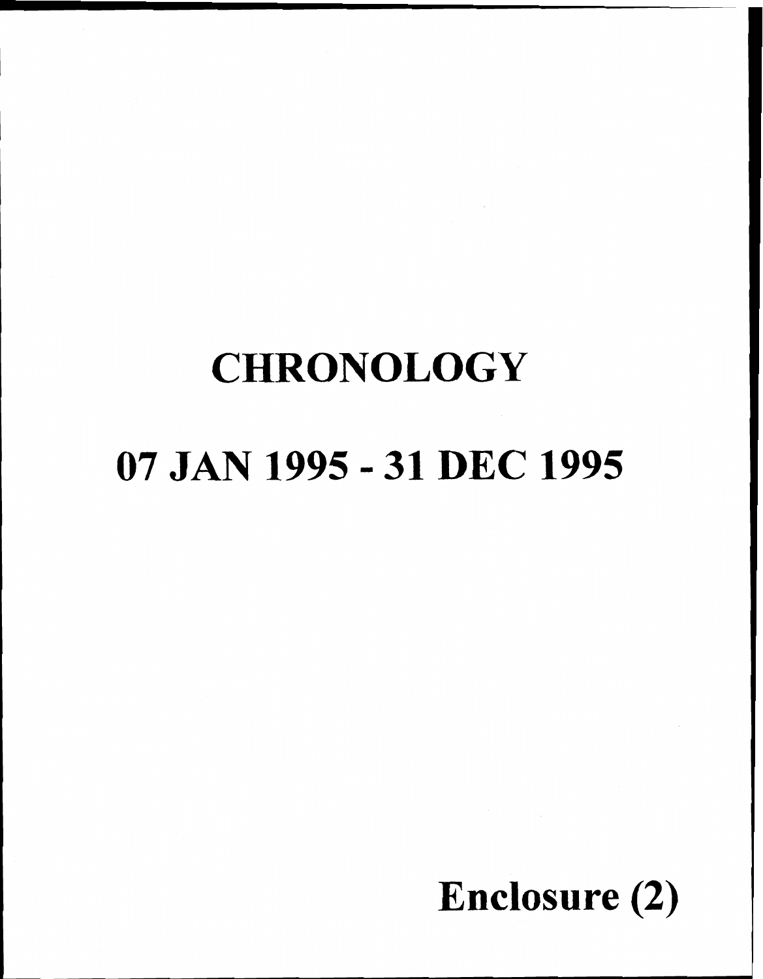### **CHRONOLOGY**

### **07 JAN 1995** - **31 DEC 1995**

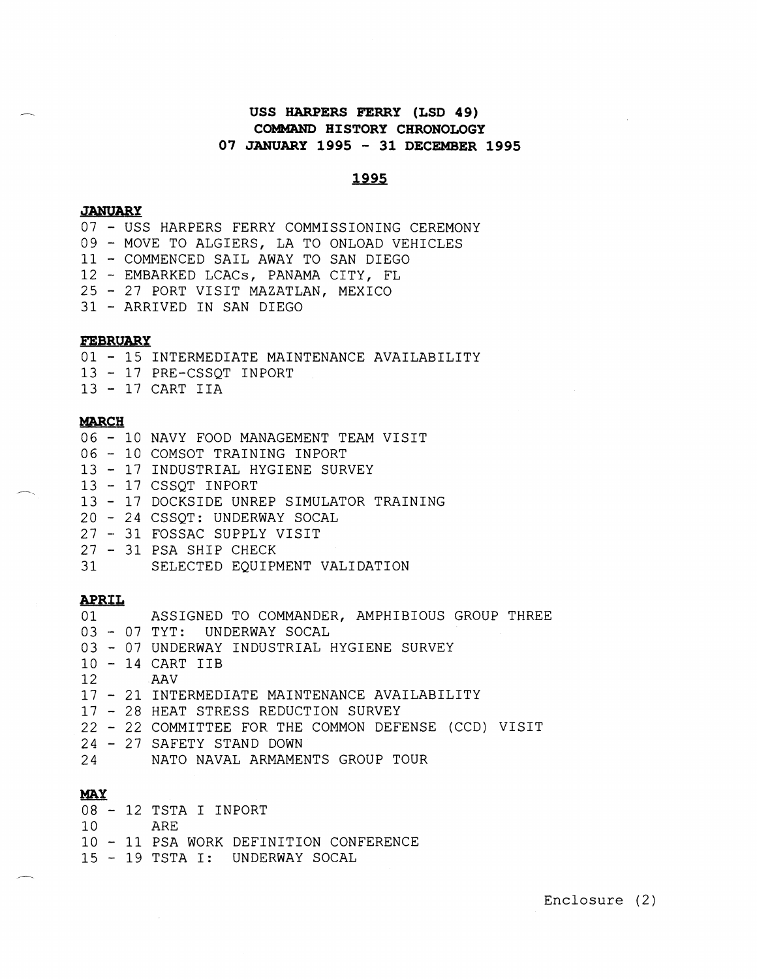#### **USS MARPERS FERRY (LSD 49) COMMAND HISTORY CHRONOLOGY 07 JANUARY 1995** - **31 DECEMBER 1995**

#### <u>1995</u>

#### **JANUARY**

- USS HARPERS FERRY COMMISSIONING CEREMONY - MOVE TO ALGIERS, LA TO ONLOAD VEHICLES - COMMENCED SAIL AWAY TO SAN DIEGO - EMBARKED LCACS, PANAMA CITY, FL - 27 PORT VISIT MAZATLAN, MEXICO 31 - ARRIVED IN SAN DIEGO

#### **FEBRUARY**

01 - 15 INTERMEDIATE MAINTENANCE AVAILABILITY <sup>13</sup>- 17 PRE-CSSQT INPORT <sup>13</sup>- 17 CART IIA

#### **MARCH**

- <sup>06</sup> 10 NAVY FOOD MANAGEMENT TEAM VISIT
- <sup>06</sup> 10 COMSOT TRAINING INPORT
- <sup>13</sup> 17 INDUSTRIAL HYGIENE SURVEY
- 13 17 CSSQT INPORT
- <sup>13</sup> 17 DOCKSIDE UNREP SIMULATOR TRAINING
- 20 24 CSSQT: UNDERWAY SOCAL
- 27 31 FOSSAC SUPPLY VISIT
- 27 31 PSA SHIP CHECK
- 31 SELECTED EQUIPMENT VALIDATION

#### **APRIL**

- 01 ASSIGNED TO COMMANDER, AMPHIBIOUS GROUP THREE <sup>03</sup>- 07 TYT: UNDERWAY SOCAL <sup>03</sup>- 07 UNDERWAY INDUSTRIAL HYGIENE SURVEY 10 - 14 CART IIB<br>12 AAV 12 AAV <sup>17</sup>- 21 INTERMEDIATE MAINTENANCE AVAILABILITY <sup>17</sup>- 28 HEAT STRESS REDUCTION SURVEY
- <sup>22</sup> 22 COMMITTEE FOR THE COMMON DEFENSE (CCD) VISIT
- <sup>24</sup> 27 SAFETY STAND DOWN
- 24 NATO NAVAL ARMAMENTS GROUP TOUR

#### MAll

- <sup>08</sup> 12 TSTA I INPORT
- 10 ARE
- <sup>10</sup> 11 PSA WORK DEFlNITION CONFERENCE
- <sup>15</sup> 19 TSTA I: UNDERWAY SOCAL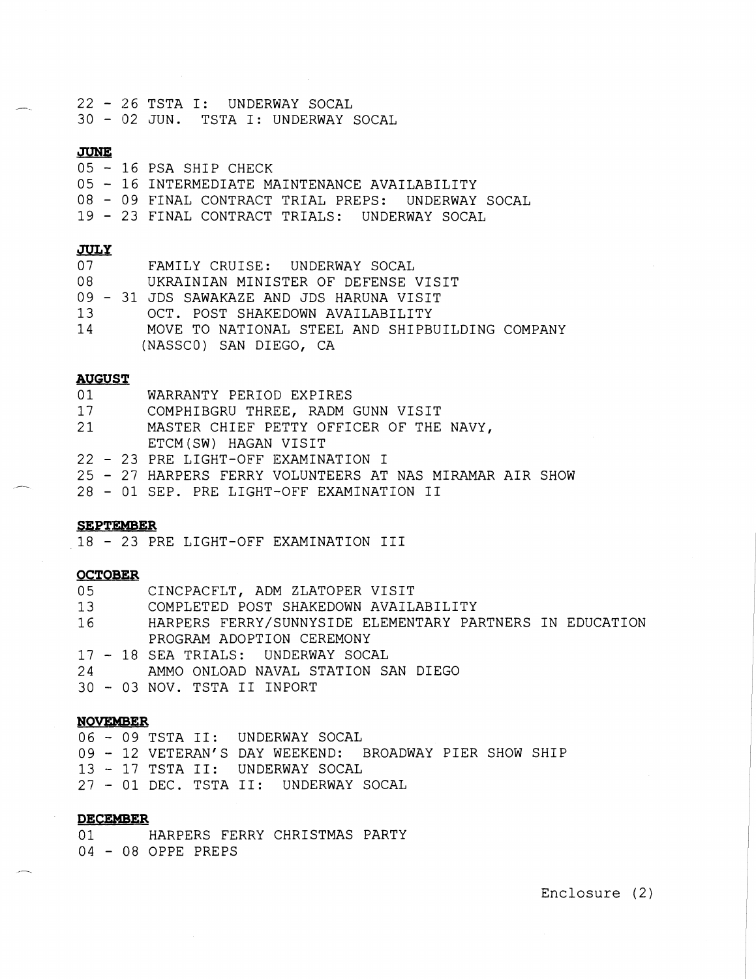**-.** <sup>22</sup>- 26 TSTA I: UNDERWAY SOCAL <sup>30</sup>- 02 JUN. TSTA I: UNDERWAY SOCAL

#### **JUNE**

| ----- |  |  |                        |  |
|-------|--|--|------------------------|--|
|       |  |  | 05 – 16 PSA SHIP CHECK |  |

- <sup>05</sup> 16 INTERMEDIATE MAINTENANCE AVAILABILITY
- <sup>08</sup> 09 FINAL CONTRACT TRIAL PREPS: UNDERWAY SOCAL
- <sup>19</sup> 23 FINAL CONTRACT TRIALS: UNDERWAY SOCAL

#### **JULY**

| 07   | FAMILY CRUISE: UNDERWAY SOCAL                   |
|------|-------------------------------------------------|
| 08   | UKRAINIAN MINISTER OF DEFENSE VISIT             |
|      | 09 - 31 JDS SAWAKAZE AND JDS HARUNA VISIT       |
| 13 — | OCT. POST SHAKEDOWN AVAILABILITY                |
| 14   | MOVE TO NATIONAL STEEL AND SHIPBUILDING COMPANY |
|      | (NASSCO) SAN DIEGO, CA                          |

#### **AUGUST**

- 01 WARRANTY PERIOD EXPIRES<br>17 COMPHIBGRU THREE, RADM
- COMPHIBGRU THREE, RADM GUNN VISIT
- 21 MASTER CHIEF PETTY OFFICER OF THE NAVY, ETCM (SW) HAGAN VISIT
- <sup>22</sup> 23 PRE LIGHT-OFF EXAMINATION I
- 25 27 HARPERS FERRY VOLUNTEERS AT NAS MIRAMAR AIR SHOW
- <sup>28</sup> 01 SEP. PRE LIGHT-OFF EXAMINATION I1

#### **SEPTEMBER**

<sup>18</sup>- 23 PRE LIGHT-OFF EXAMINATION I11

#### **OCTOBER**

| 0 <sub>5</sub> | CINCPACFLT, ADM ZLATOPER VISIT                           |
|----------------|----------------------------------------------------------|
| 13             | COMPLETED POST SHAKEDOWN AVAILABILITY                    |
| 16             | HARPERS FERRY/SUNNYSIDE ELEMENTARY PARTNERS IN EDUCATION |
|                | PROGRAM ADOPTION CEREMONY                                |
|                | 17 - 18 SEA TRIALS: UNDERWAY SOCAL                       |
|                | 24 AMMO ONLOAD NAVAL STATION SAN DIEGO                   |
|                | 30 - 03 NOV. TSTA II INPORT                              |

#### NOVFMBER

- 09 TSTA 11: UNDERWAY SOCAL - 12 VETERAN'S DAY WEEKEND: BROADWAY PIER SHOW SHIP 13 - 17 TSTA II: UNDERWAY SOCAL - 01 DEC. TSTA 11: UNDERWAY SOCAL

#### **DECEMBER**

01 HARPERS FERRY CHRISTMAS PARTY <sup>04</sup>- 08 OPPE PREPS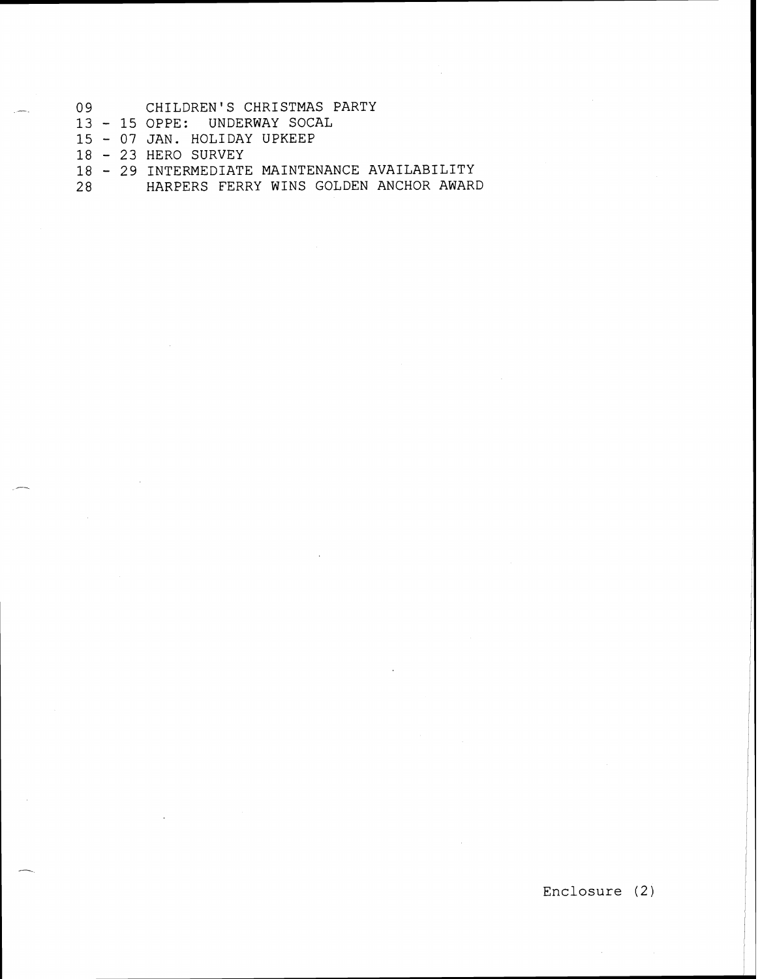- 09 CHILDREN'S CHRISTMAS PARTY
- 13 15 OPPE: UNDERWAY SOCAL
- <sup>15</sup> 07 JAN. HOLIDAY UPKEEP
- <sup>18</sup> 23 HERO SURVEY
- <sup>18</sup> 29 INTERMEDIATE MAINTENANCE AVAILABILITY
- 28 HARPERS FERRY WINS GOLDEN ANCHOR AWARD

Enclosure (2)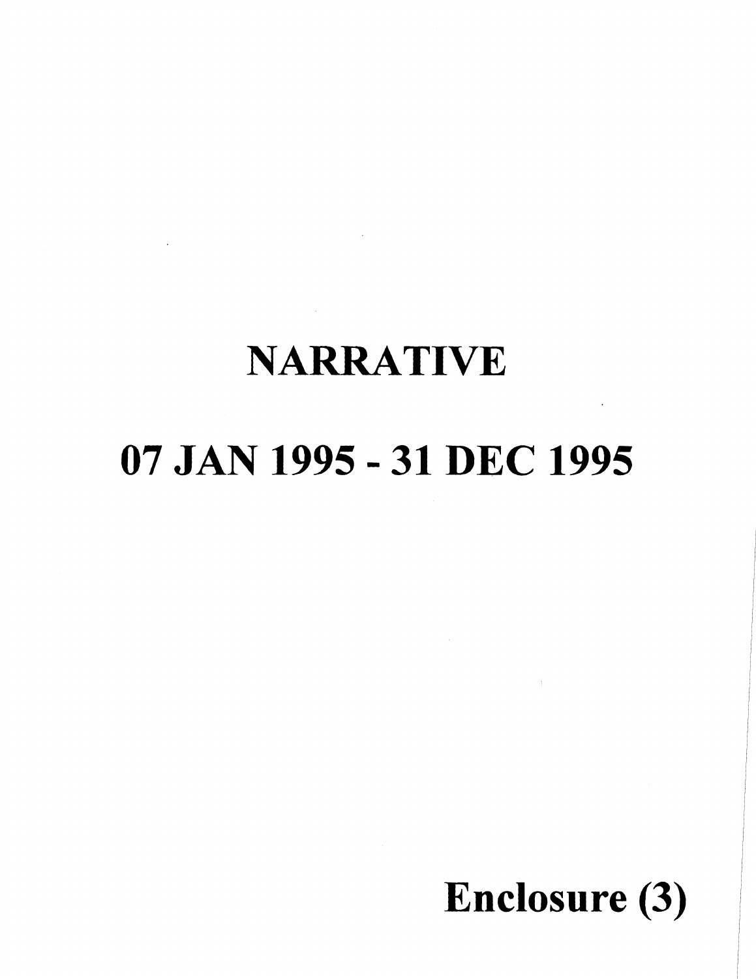### **NARRATIVE**

## **07 JAN 1995** - **31 DEC 1995**



I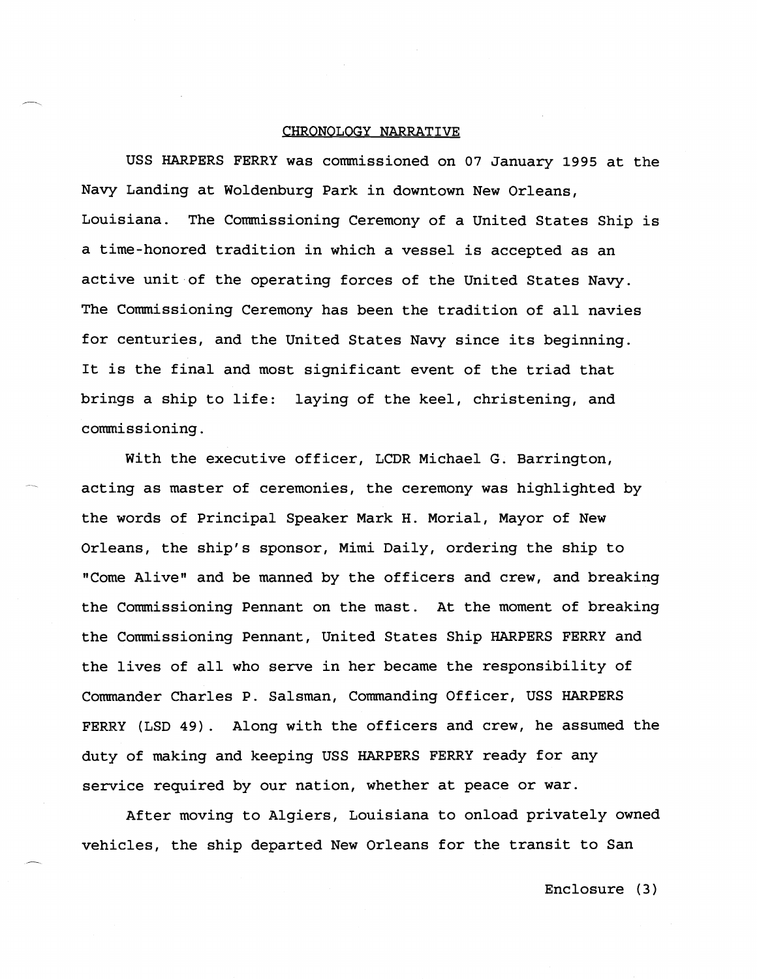#### CHRONOLOGY NARRATIVE

USS HARPERS FERRY was commissioned on 07 January 1995 at the Navy Landing at Woldenburg Park in downtown New Orleans, Louisiana. The Commissioning Ceremony of a United States Ship is a time-honored tradition in which a vessel is accepted as an active unit of the operating forces of the United States Navy. The Commissioning Ceremony has been the tradition of all navies for centuries, and the United States Navy since its beginning. It is the final and most significant event of the triad that brings a ship to life: laying of the keel, christening, and commissioning.

With the executive officer, LCDR Michael G. Barrington, acting as master of ceremonies, the ceremony was highlighted by the words of Principal Speaker Mark H. Morial, Mayor of New Orleans, the ship's sponsor, Mimi Daily, ordering the ship to "Come Alive" and be manned by the officers and crew, and breaking the Commissioning Pennant on the mast. At the moment of breaking the Commissioning Pennant, United States Ship HARPERS FERRY and the lives of all who serve in her became the responsibility of Commander Charles P. Salsman, Commanding Officer, USS HARPERS FERRY (LSD 49). Along with the officers and crew, he assumed the duty of making and keeping USS HARPERS FERRY ready for any service required by our nation, whether at peace or war.

After moving to Algiers, Louisiana to onload privately owned vehicles, the ship departed New Orleans for the transit to San

 $\overline{\phantom{a}}$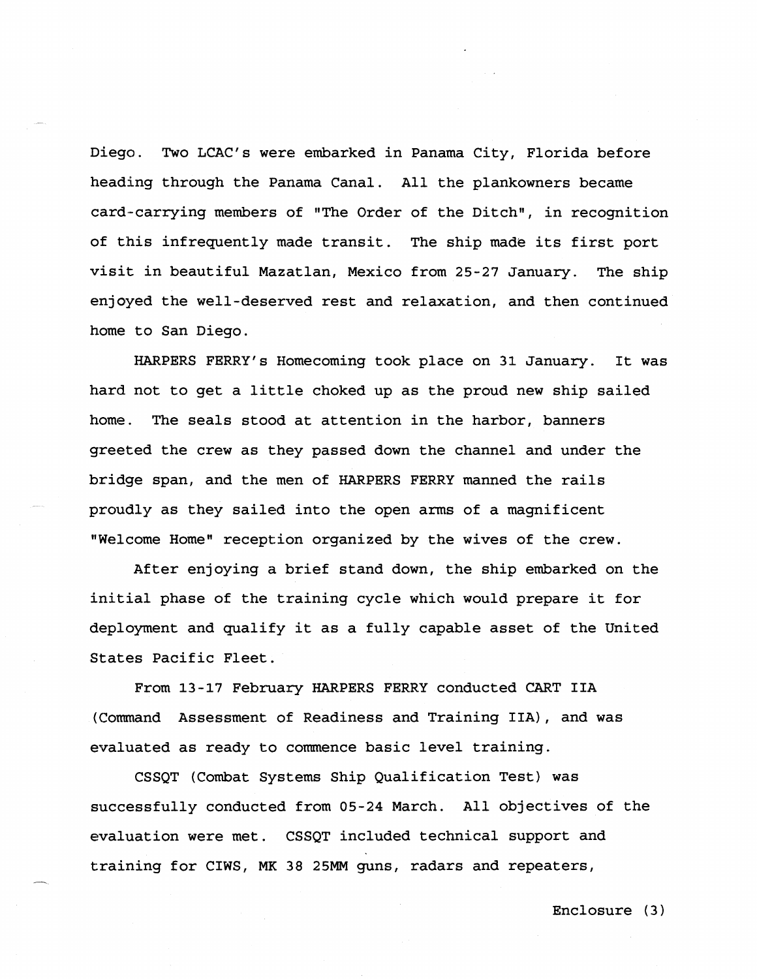Diego. Two LCAC's were embarked in Panama City, Florida before heading through the Panama Canal. All the plankowners became card-carrying members of "The Order of the Ditch", in recognition of this infrequently made transit. The ship made its first port visit in beautiful Mazatlan, Mexico from 25-27 January. The ship enjoyed the well-deserved rest and relaxation, and then continued home to San Diego.

HARPERS FERRY'S Homecoming took place on 31 January. It was hard not to get a little choked up as the proud new ship sailed home. The seals stood at attention in the harbor, banners greeted the crew as they passed down the channel and under the bridge span, and the men of HARPERS FERRY manned the rails proudly as they sailed into the open arms of a magnificent "Welcome Homen reception organized by the wives of the crew.

After enjoying a brief stand down, the ship embarked on the initial phase of the training cycle which would prepare it for deployment and qualify it as a fully capable asset of the United States Pacific Fleet.

From 13-17 February HARPERS FERRY conducted CART IIA (Command Assessment of Readiness and Training IIA), and was evaluated as ready to commence basic level training.

CSSQT (Combat Systems Ship Qualification Test) was successfully conducted from 05-24 March. All objectives of the evaluation were met. CSSQT included technical support and training for CIWS, MK 38 **25MM** guns, radars and repeaters,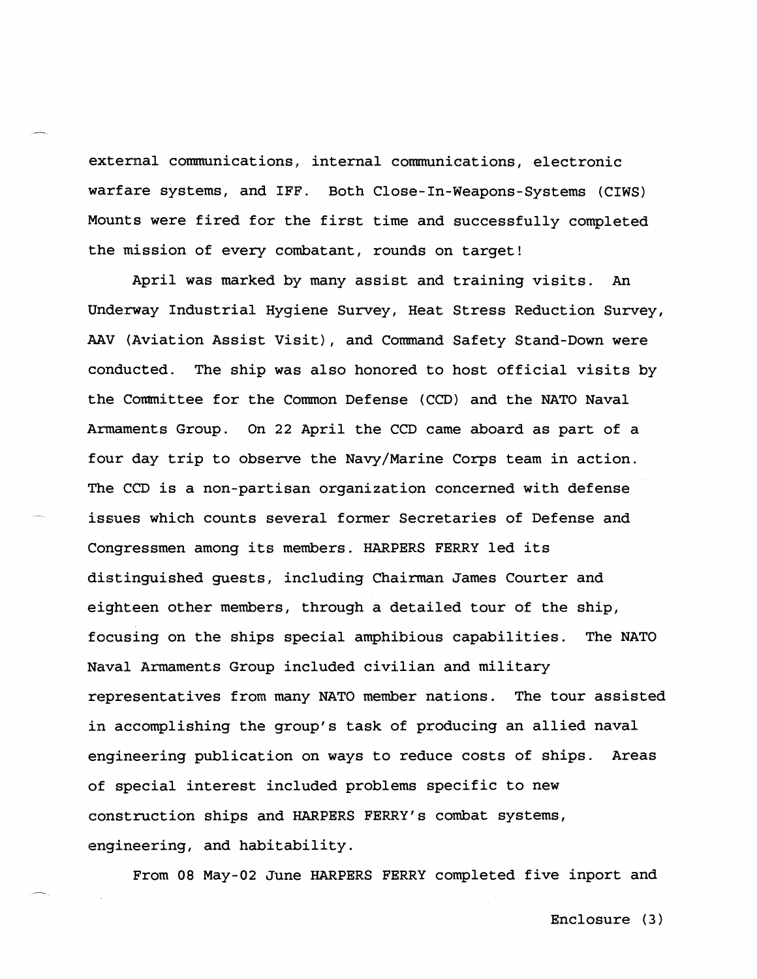external communications, internal communications, electronic warfare systems, and IFF. Both Close-In-Weapons-Systems (CIWS) Mounts were fired for the first time and successfully completed the mission of every combatant, rounds on target!

April was marked by many assist and training visits. **An**  Underway Industrial Hygiene Survey, Heat Stress Reduction Survey, AAV (Aviation Assist Visit), and Command Safety Stand-Down were conducted. The ship was also honored to host official visits by the Committee for the Common Defense (CCD) and the NATO Naval Armaments Group. On 22 April the CCD came aboard as part of a four day trip to observe the Navy/Marine Corps team in action. The CCD is a non-partisan organization concerned with defense issues which counts several former Secretaries of Defense and Congressmen among its members. HARPERS FERRY led its distinguished guests, including Chairman James Courter and eighteen other members, through a detailed tour of the ship, focusing on the ships special amphibious capabilities. The NATO Naval Armaments Group included civilian and military representatives from many NATO member nations. The tour assisted in accomplishing the group's task of producing an allied naval engineering publication on ways to reduce costs of ships. Areas of special interest included problems specific to new construction ships and HARPERS FERRY'S combat systems, engineering, and habitability.

From 08 May-02 June HARPERS FERRY completed five inport and

-

Enclosure (3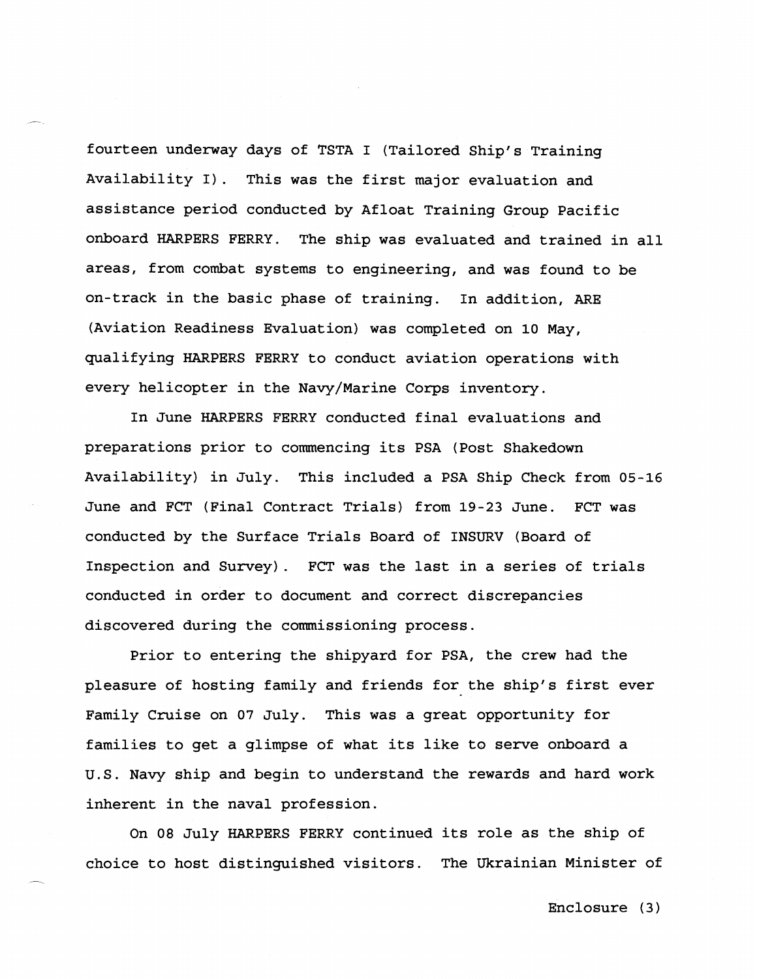fourteen underway days of TSTA I (Tailored Ship's Training Availability **I).** This was the first major evaluation and assistance period conducted by Afloat Training Group Pacific onboard HARPERS FERRY. The ship was evaluated and trained in all areas, from combat systems to engineering, and was found to be on-track in the basic phase of training. In addition, ARE (Aviation Readiness Evaluation) was completed on **10** May, qualifying HARPERS FERRY to conduct aviation operations with every helicopter in the Navy/Marine Corps inventory.

-

In June HARPERS PERRY conducted final evaluations and preparations prior to commencing its PSA (Post Shakedown Availability) in July. This included a PSA Ship Check from **05-16**  June and FCT (Final Contract Trials) from 19-23 June. FCT was conducted by the Surface Trials Board of INSURV (Board of Inspection and Survey). FCT was the last in a series of trials conducted in order to document and correct discrepancies discovered during the commissioning process.

Prior to entering the shipyard for PSA, the crew had the pleasure of hosting family and friends for the ship's first ever Family Cruise on **07** July. This was a great opportunity for families to get a glimpse of what its like to serve onboard a U.S. Navy ship and begin to understand the rewards and hard work inherent in the naval profession.

On 08 July HARPERS FERRY continued its role as the ship of choice to host distinguished visitors. The Ukrainian Minister of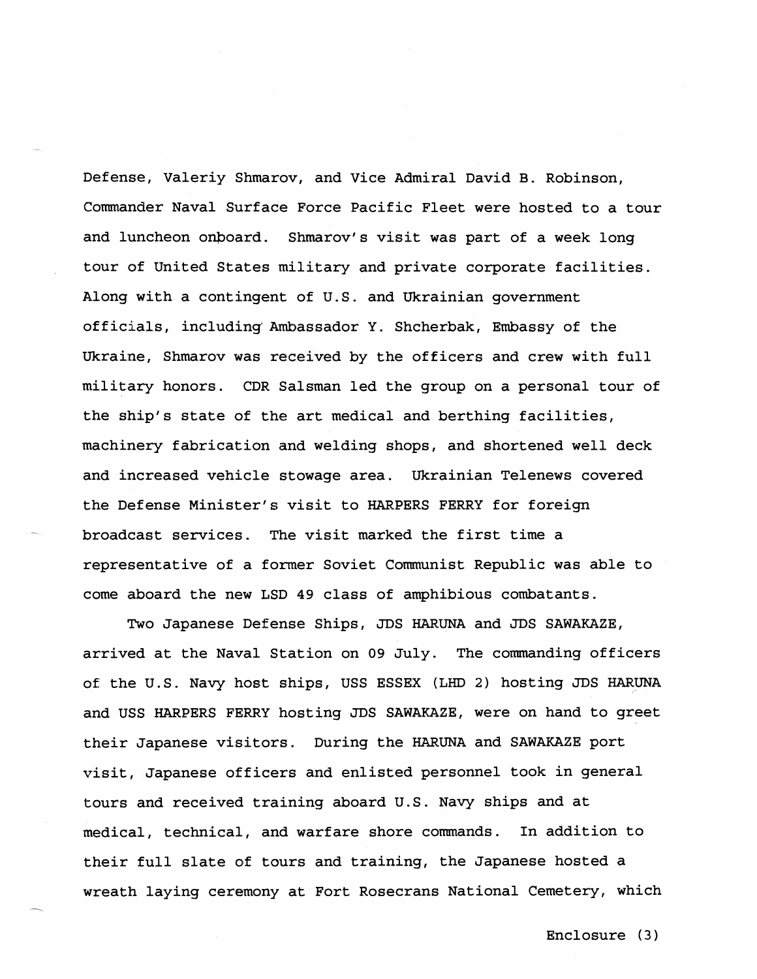Defense, Valeriy Shmarov, and Vice Admiral David B. Robinson, Commander Naval Surface Force Pacific Fleet were hosted to a tour and luncheon onboard. Shmarov's visit was part of a week long tour of United States military and private corporate facilities. Along with a contingent of U.S. and Ukrainian government officials, including Ambassador Y. Shcherbak, Embassy of the Ukraine, Shmarov was received by the officers and crew with full military honors. CDR Salsman led the group on a personal tour of the ship's state of the art medical and berthing facilities, machinery fabrication and welding shops, and shortened well deck and increased vehicle stowage area. Ukrainian Telenews covered the Defense Minister's visit to HARPERS FERRY for foreign broadcast services. The visit marked the first time a representative of a former Soviet Communist Republic was able to come aboard the new LSD 49 class of amphibious combatants.

Two Japanese Defense Ships, JDS HARUNA and JDS SAWAKAZE, arrived at the Naval Station on 09 July. The commanding officers of the U.S. Navy host ships, USS ESSEX **(LHD** 2) hosting JDS HARUNA and USS HARPERS FERRY hosting JDS SAWAKAZE, were on hand to greet their Japanese visitors. During the HARUNA and SAWAKAZE port visit, Japanese officers and enlisted personnel took in general tours and received training aboard U.S. Navy ships and at medical, technical, and warfare shore commands. In addition to their full slate of tours and training, the Japanese hosted a wreath laying ceremony at Fort Rosecrans National Cemetery, which

-.

Enclosure **(3**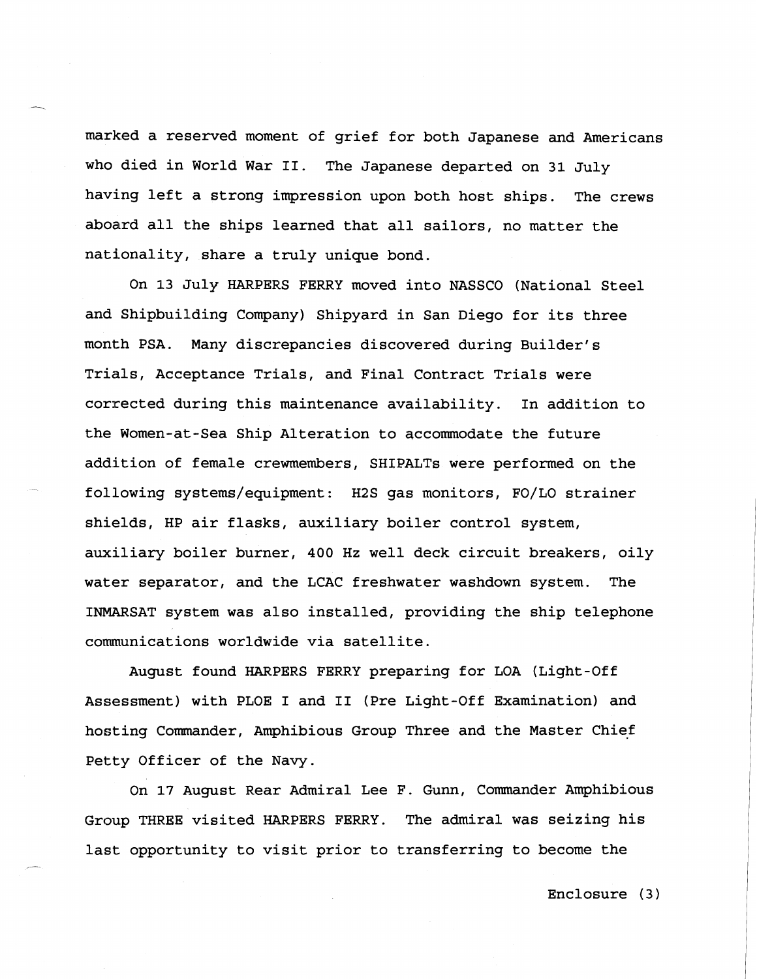marked a reserved moment of grief for both Japanese and Americans who died in World War **11.** The Japanese departed on **31** July having left a strong impression upon both host ships. The crews aboard all the ships learned that all sailors, no matter the nationality, share a truly unique bond.

On **13** July HARPERS FERRY moved into NASSCO (National Steel and Shipbuilding Company) Shipyard in San Diego for its three month PSA. Many discrepancies discovered during Builder's Trials, Acceptance Trials, and Final Contract Trials were corrected during this maintenance availability. In addition to the Women-at-Sea Ship Alteration to qccommodate the future addition of female crewmembers, SHIPALTs were performed on the following systems/equipment: H2S gas monitors, FO/LO strainer shields, HP air flasks, auxiliary boiler control system, auxiliary boiler burner, 400 Hz well deck circuit breakers, oily water separator, and the LCAC freshwater washdown system. The INMIARSAT system was also installed, providing the ship telephone communications worldwide via satellite.

August found HARPERS FERRY preparing for LOA (Light-Off Assessment) with PLOE I and **I1** (Pre Light-Off Examination) and hosting Commander, Amphibious Group Three and the Master Chief Petty Officer of the Navy.

On 17 August Rear Admiral Lee F. Gunn, Commander Amphibious Group THREE visited HARPERS FERRY. The admiral was seizing his last opportunity to visit prior to transferring to become the

--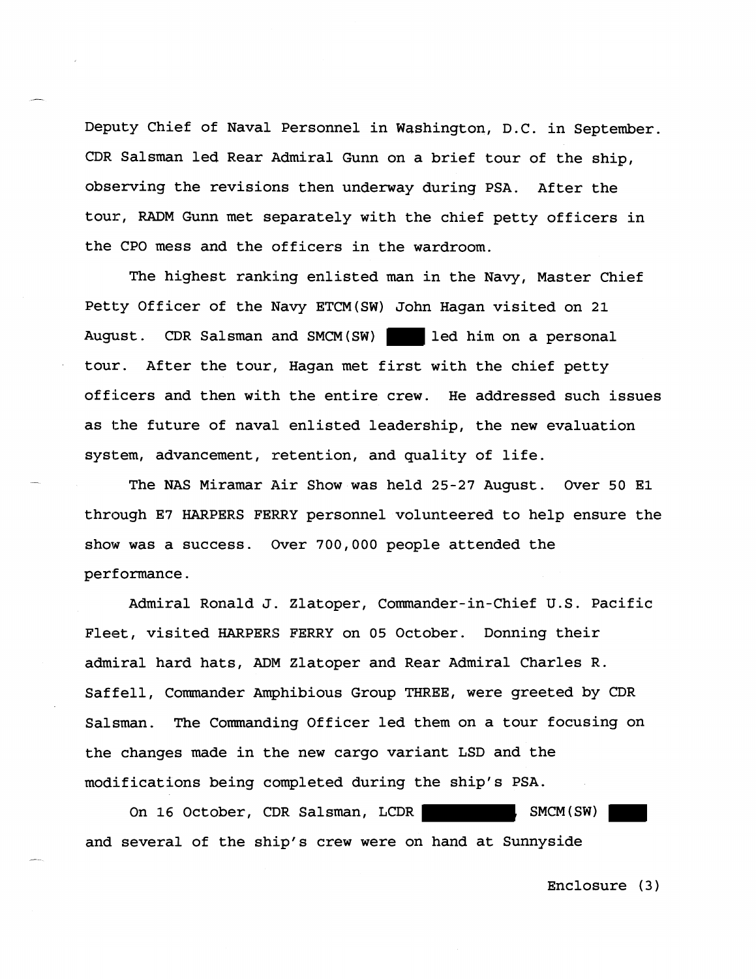Deputy Chief of Naval Personnel in Washington, D.C. in September. CDR Salsman led Rear Admiral Gunn on a brief tour of the ship, observing the revisions then underway during PSA. After the tour, RADM Gunn met separately with the chief petty officers in the CPO mess and the officers in the wardroom.

The highest ranking enlisted man in the Navy, Master Chief Petty Officer of the Navy ETCM(SW) John Hagan visited on 21 August. CDR Salsman and SMCM(SW) led him on a personal tour. After the tour, Hagan met first with the chief petty officers and then with the entire crew. He addressed such issues as the future of naval enlisted leadership, the new evaluation system, advancement, retention, and quality of life.

The NAS Miramar Air Show was held 25-27 August. Over 50 El through E7 HARPERS FEKRY personnel volunteered to help ensure the show was a success. Over 700,000 people attended the performance.

Admiral Ronald J. Zlatoper, Commander-in-Chief U.S. Pacific Fleet, visited HARPERS FERRY on 05 October. Donning their admiral hard hats, ADM Zlatoper and Rear Admiral Charles R. Saffell, Commander Amphibious Group THREE, were greeted by CDR Salsman. The Commanding Officer led them on a tour focusing on the changes made in the new cargo variant LSD and the modifications being completed during the ship's PSA.

On 16 October, CDR Salsman, LCDR , SMCM (SW) and several of the ship's crew were on hand at Sunnyside

-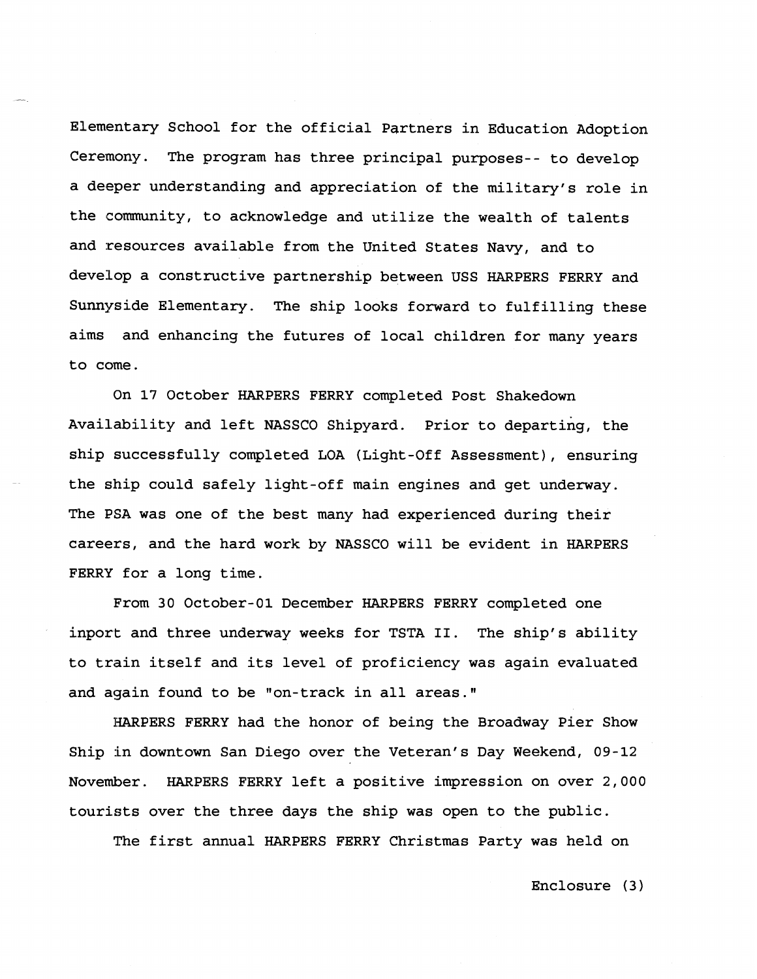Elementary School for the official Partners in Education Adoption Ceremony. The program has three principal purposes-- to develop a deeper understanding and appreciation of the military's role in the community, to acknowledge and utilize the wealth of talents and resources available from the United States Navy, and to develop a constructive partnership between USS HARPERS FERRY and Sunnyside Elementary. The ship looks forward to fulfilling these aims and enhancing the futures of local children for many years to come.

On 17 October HARPERS FERRY completed Post Shakedown Availability and left NASSCO Shipyard. Prior to departing, the ship successfully completed LOA (Light-Off Assessment), ensuring the ship could safely light-off main engines and get underway. The PSA was one of the best many had experienced during their careers, and the hard work by NASSCO will be evident in HARPERS FERRY for a long time.

From 30 October-01 December HARPERS FERRY completed one inport and three underway weeks for TSTA **11.** The ship's ability to train itself and its level of proficiency was again evaluated and again found to be "on-track in all areas."

HARPERS FERRY had the honor of being the Broadway Pier Show Ship in downtown San Diego over the Veteran's Day Weekend, 09-12 November. HARPERS FERRY left a positive impression on over 2,000 tourists over the three days the ship was open to the public.

The first annual HARPERS FERRY Christmas Party was held on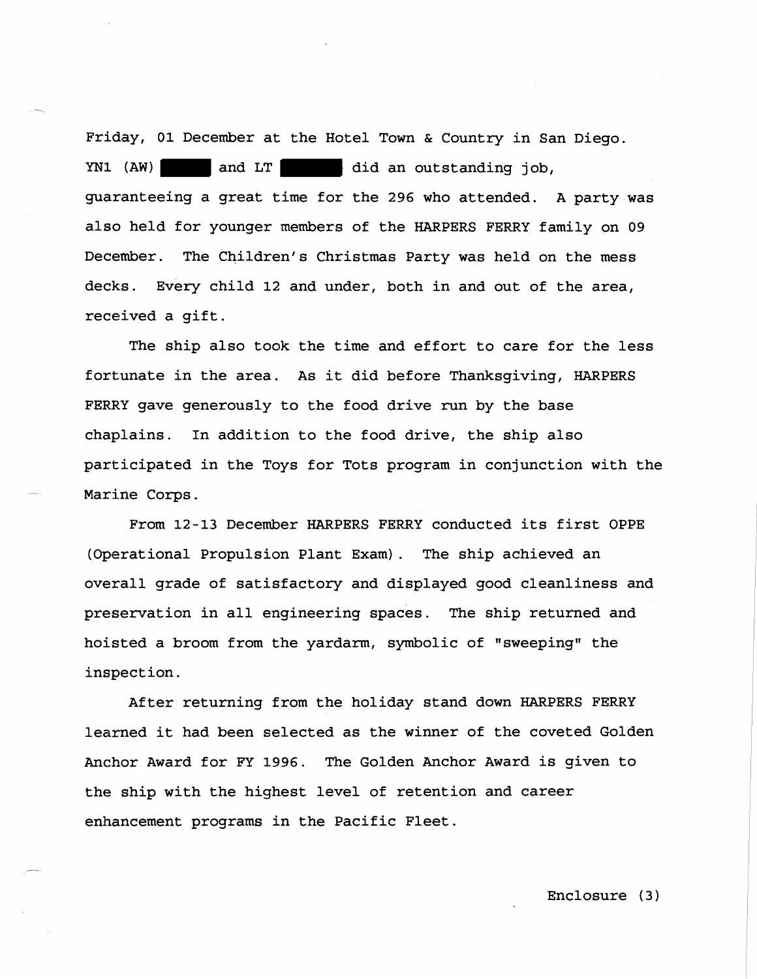Friday, 01 December at the Hotel Town & Country in San Diego. YN1 (AW) and LT did an outstanding job, guaranteeing a great time for the **296** who attended. A party was also held for younger members of the HARPERS FERRY family on **09**  December. The Children's Christmas Party was held on the mess decks. Every child 12 and under, both in and out of the area, received a gift.

The ship also took the time and effort to care for the less fortunate in the area. As it did before Thanksgiving, HARPERS FERRY gave generously to the food drive run by the base chaplains. In addition to the food drive, the ship also participated in the Toys for Tots program in conjunction with the Marine Corps.

From 12-13 December HARPERS FERRY conducted its first OPPE (Operational Propulsion Plant Exam). The ship achieved an overall grade of satisfactory and displayed good cleanliness and preservation in all engineering spaces. The ship returned and hoisted a broom from the yardarm, symbolic of "sweeping" the inspection.

After returning from the holiday stand down HARPERS FERRY learned it had been selected as the winner of the coveted Golden Anchor Award for FY **1996.** The Golden Anchor Award is given to the ship with the highest level of retention and career enhancement programs in the Pacific Fleet.